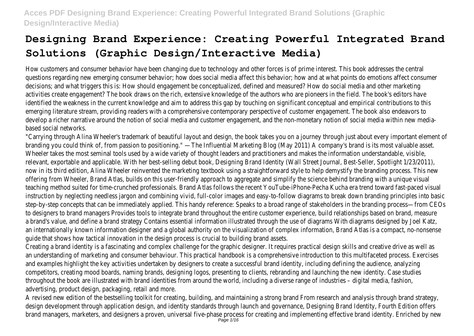How customers and consumer behavior have been changing due to technology and other forces is of prime interest. This book addresses the central questions regarding new emerging consumer behavior; how does social media affect this behavior; how and at what points do emotions affect consumer decisions; and what triggers this is: How should engagement be conceptualized, defined and measured? How do social media and other marketing activities create engagement? The book draws on the rich, extensive knowledge of the authors who are pioneers in the field. The book's editors have identified the weakness in the current knowledge and aim to address this gap by touching on significant conceptual and empirical contributions to this emerging literature stream, providing readers with a comprehensive contemporary perspective of customer engagement. The book also endeavors to develop a richer narrative around the notion of social media and customer engagement, and the non-monetary notion of social media within new mediabased social networks.

"Carrying through Alina Wheeler's trademark of beautiful layout and design, the book takes you on a journey through just about every important element of branding you could think of, from passion to positioning." —The Influential Marketing Blog (May 2011) A company's brand is its most valuable asset. Wheeler takes the most seminal tools used by a wide variety of thought leaders and practitioners and makes the information understandable, visible, relevant, exportable and applicable. With her best-selling debut book, Designing Brand Identity (Wall Street Journal, Best-Seller, Spotlight 1/23/2011), now in its third edition, Alina Wheeler reinvented the marketing textbook using a straightforward style to help demystify the branding process. This new offering from Wheeler, Brand Atlas, builds on this user-friendly approach to aggregate and simplify the science behind branding with a unique visual teaching method suited for time-crunched professionals. Brand Atlas follows the recent YouTube-iPhone-Pecha Kucha era trend toward fast-paced visual instruction by neglecting needless jargon and combining vivid, full-color images and easy-to-follow diagrams to break down branding principles into basic step-by-step concepts that can be immediately applied. This handy reference: Speaks to a broad range of stakeholders in the branding process—from CEOs to designers to brand managers Provides tools to integrate brand throughout the entire customer experience, build relationships based on brand, measure a brand's value, and define a brand strategy Contains essential information illustrated through the use of diagrams With diagrams designed by Joel Katz, an internationally known information designer and a global authority on the visualization of complex information, Brand Atlas is a compact, no-nonsense guide that shows how tactical innovation in the design process is crucial to building brand assets. Creating a brand identity is a fascinating and complex challenge for the graphic designer. It requires practical design skills and creative drive as well as an understanding of marketing and consumer behaviour. This practical handbook is a comprehensive introduction to this multifaceted process. Exercises and examples highlight the key activities undertaken by designers to create a successful brand identity, including defining the audience, analyzing competitors, creating mood boards, naming brands, designing logos, presenting to clients, rebranding and launching the new identity. Case studies throughout the book are illustrated with brand identities from around the world, including a diverse range of industries – digital media, fashion, advertising, product design, packaging, retail and more.

A revised new edition of the bestselling toolkit for creating, building, and maintaining a strong brand From research and analysis through brand strategy, design development through application design, and identity standards through launch and governance, Designing Brand Identity, Fourth Edition offers brand managers, marketers, and designers a proven, universal five-phase process for creating and implementing effective brand identity. Enriched by new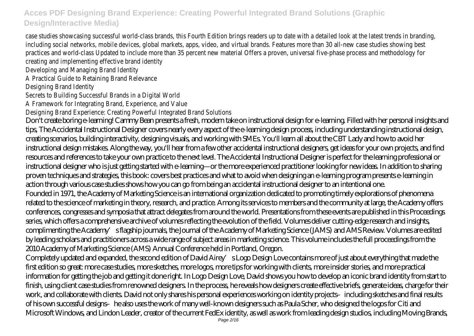case studies showcasing successful world-class brands, this Fourth Edition brings readers up to date with a detailed look at the latest trends in branding, including social networks, mobile devices, global markets, apps, video, and virtual brands. Features more than 30 all-new case studies showing best practices and world-class Updated to include more than 35 percent new material Offers a proven, universal five-phase process and methodology for creating and implementing effective brand identity Developing and Managing Brand Identity A Practical Guide to Retaining Brand Relevance Designing Brand Identity Secrets to Building Successful Brands in a Digital World A Framework for Integrating Brand, Experience, and Value Designing Brand Experience: Creating Powerful Integrated Brand Solutions Don't create boring e-learning! Cammy Bean presents a fresh, modern take on instructional design for e-learning. Filled with her personal insights and tips, The Accidental Instructional Designer covers nearly every aspect of the e-learning design process, including understanding instructional design, creating scenarios, building interactivity, designing visuals, and working with SMEs. You'll learn all about the CBT Lady and how to avoid her instructional design mistakes. Along the way, you'll hear from a few other accidental instructional designers, get ideas for your own projects, and find resources and references to take your own practice to the next level. The Accidental Instructional Designer is perfect for the learning professional or instructional designer who is just getting started with e-learning—or the more experienced practitioner looking for new ideas. In addition to sharing proven techniques and strategies, this book: covers best practices and what to avoid when designing an e-learning program presents e-learning in action through various case studies shows how you can go from being an accidental instructional designer to an intentional one. Founded in 1971, the Academy of Marketing Science is an international organization dedicated to promoting timely explorations of phenomena related to the science of marketing in theory, research, and practice. Among its services to members and the community at large, the Academy offers conferences, congresses and symposia that attract delegates from around the world. Presentations from these events are published in this Proceedings series, which offers a comprehensive archive of volumes reflecting the evolution of the field. Volumes deliver cutting-edge research and insights, complimenting the Academy's flagship journals, the Journal of the Academy of Marketing Science (JAMS) and AMS Review. Volumes are edited by leading scholars and practitioners across a wide range of subject areas in marketing science. This volume includes the full proceedings from the 2010 Academy of Marketing Science (AMS) Annual Conference held in Portland, Oregon. Completely updated and expanded, the second edition of David Airey's Logo Design Love contains more of just about everything that made the first edition so great: more case studies, more sketches, more logos, more tips for working with clients, more insider stories, and more practical information for getting the job and getting it done right. In Logo Design Love, David shows you how to develop an iconic brand identity from start to finish, using client case studies from renowned designers. In the process, he reveals how designers create effective briefs, generate ideas, charge for their work, and collaborate with clients. David not only shares his personal experiences working on identity projects–including sketches and final results of his own successful designs–he also uses the work of many well-known designers such as Paula Scher, who designed the logos for Citi and Microsoft Windows, and Lindon Leader, creator of the current FedEx identity, as well as work from leading design studios, including Moving Brands,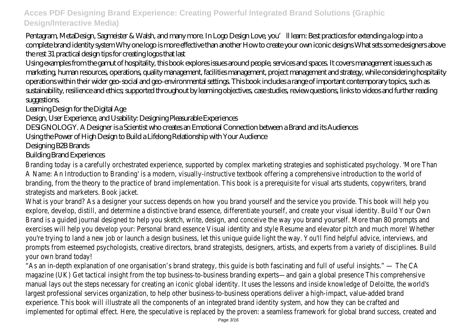Pentagram, MetaDesign, Sagmeister & Walsh, and many more. In Logo Design Love, you'll learn: Best practices for extending a logo into a complete brand identity system Why one logo is more effective than another How to create your own iconic designs What sets some designers above the rest 31 practical design tips for creating logos that last

Using examples from the gamut of hospitality, this book explores issues around people, services and spaces. It covers management issues such as marketing, human resources, operations, quality management, facilities management, project management and strategy, while considering hospitality operations within their wider geo-social and geo-environmental settings. This book includes a range of important contemporary topics, such as sustainability, resilience and ethics; supported throughout by learning objectives, case studies, review questions, links to videos and further reading suggestions.

Learning Design for the Digital Age

Design, User Experience, and Usability: Designing Pleasurable Experiences

DESIGNOLOGY. A Designer is a Scientist who creates an Emotional Connection between a Brand and its Audiences

Using the Power of High Design to Build a Lifelong Relationship with Your Audience

Designing B2B Brands

Building Brand Experiences

Branding today is a carefully orchestrated experience, supported by complex marketing strategies and sophisticated psychology. 'More Than A Name: An Introduction to Branding' is a modern, visually-instructive textbook offering a comprehensive introduction to the world of branding, from the theory to the practice of brand implementation. This book is a prerequisite for visual arts students, copywriters, brand strategists and marketers. Book jacket.

What is your brand? As a designer your success depends on how you brand yourself and the service you provide. This book will help you explore, develop, distill, and determine a distinctive brand essence, differentiate yourself, and create your visual identity. Build Your Own Brand is a guided journal designed to help you sketch, write, design, and conceive the way you brand yourself. More than 80 prompts and exercises will help you develop your: Personal brand essence Visual identity and style Resume and elevator pitch and much more! Whether you're trying to land a new job or launch a design business, let this unique guide light the way. You'll find helpful advice, interviews, and prompts from esteemed psychologists, creative directors, brand strategists, designers, artists, and experts from a variety of disciplines. Build your own brand today!

"As an in-depth explanation of one organisation's brand strategy, this guide is both fascinating and full of useful insights." — The CA magazine (UK) Get tactical insight from the top business-to-business branding experts—and gain a global presence This comprehensive manual lays out the steps necessary for creating an iconic global identity. It uses the lessons and inside knowledge of Deloitte, the world's largest professional services organization, to help other business-to-business operations deliver a high-impact, value-added brand experience. This book will illustrate all the components of an integrated brand identity system, and how they can be crafted and implemented for optimal effect. Here, the speculative is replaced by the proven: a seamless framework for global brand success, created and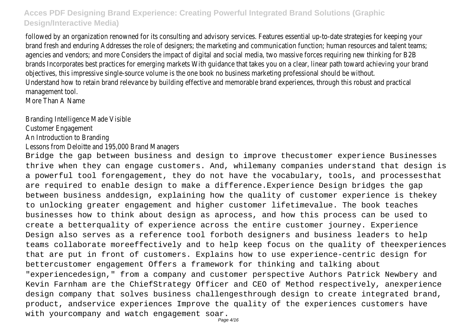followed by an organization renowned for its consulting and advisory services. Features essential up-to-date strategies for keeping your brand fresh and enduring Addresses the role of designers; the marketing and communication function; human resources and talent teams; agencies and vendors; and more Considers the impact of digital and social media, two massive forces requiring new thinking for B2B brands Incorporates best practices for emerging markets With guidance that takes you on a clear, linear path toward achieving your brand objectives, this impressive single-source volume is the one book no business marketing professional should be without. Understand how to retain brand relevance by building effective and memorable brand experiences, through this robust and practical management tool. More Than A Name

Branding Intelligence Made Visible

Customer Engagement

An Introduction to Branding

Lessons from Deloitte and 195,000 Brand Managers

Bridge the gap between business and design to improve thecustomer experience Businesses thrive when they can engage customers. And, whilemany companies understand that design is a powerful tool forengagement, they do not have the vocabulary, tools, and processesthat are required to enable design to make a difference.Experience Design bridges the gap between business anddesign, explaining how the quality of customer experience is thekey to unlocking greater engagement and higher customer lifetimevalue. The book teaches businesses how to think about design as aprocess, and how this process can be used to create a betterquality of experience across the entire customer journey. Experience Design also serves as a reference tool forboth designers and business leaders to help teams collaborate moreeffectively and to help keep focus on the quality of theexperiences that are put in front of customers. Explains how to use experience-centric design for bettercustomer engagement Offers a framework for thinking and talking about "experiencedesign," from a company and customer perspective Authors Patrick Newbery and Kevin Farnham are the ChiefStrategy Officer and CEO of Method respectively, anexperience design company that solves business challengesthrough design to create integrated brand, product, andservice experiences Improve the quality of the experiences customers have with yourcompany and watch engagement soar.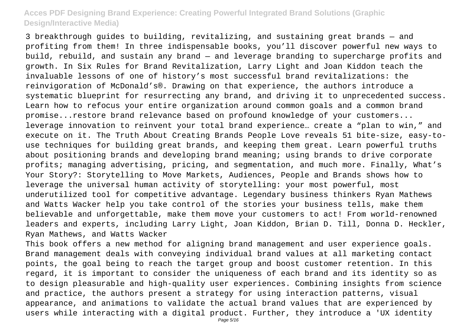3 breakthrough guides to building, revitalizing, and sustaining great brands — and profiting from them! In three indispensable books, you'll discover powerful new ways to build, rebuild, and sustain any brand — and leverage branding to supercharge profits and growth. In Six Rules for Brand Revitalization, Larry Light and Joan Kiddon teach the invaluable lessons of one of history's most successful brand revitalizations: the reinvigoration of McDonald's®. Drawing on that experience, the authors introduce a systematic blueprint for resurrecting any brand, and driving it to unprecedented success. Learn how to refocus your entire organization around common goals and a common brand promise...restore brand relevance based on profound knowledge of your customers... leverage innovation to reinvent your total brand experience… create a "plan to win," and execute on it. The Truth About Creating Brands People Love reveals 51 bite-size, easy-touse techniques for building great brands, and keeping them great. Learn powerful truths about positioning brands and developing brand meaning; using brands to drive corporate profits; managing advertising, pricing, and segmentation, and much more. Finally, What's Your Story?: Storytelling to Move Markets, Audiences, People and Brands shows how to leverage the universal human activity of storytelling: your most powerful, most underutilized tool for competitive advantage. Legendary business thinkers Ryan Mathews and Watts Wacker help you take control of the stories your business tells, make them believable and unforgettable, make them move your customers to act! From world-renowned leaders and experts, including Larry Light, Joan Kiddon, Brian D. Till, Donna D. Heckler, Ryan Mathews, and Watts Wacker

This book offers a new method for aligning brand management and user experience goals. Brand management deals with conveying individual brand values at all marketing contact points, the goal being to reach the target group and boost customer retention. In this regard, it is important to consider the uniqueness of each brand and its identity so as to design pleasurable and high-quality user experiences. Combining insights from science and practice, the authors present a strategy for using interaction patterns, visual appearance, and animations to validate the actual brand values that are experienced by users while interacting with a digital product. Further, they introduce a 'UX identity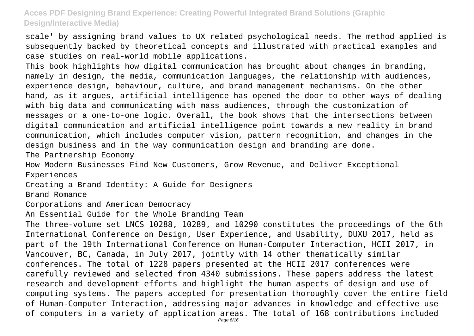scale' by assigning brand values to UX related psychological needs. The method applied is subsequently backed by theoretical concepts and illustrated with practical examples and case studies on real-world mobile applications.

This book highlights how digital communication has brought about changes in branding, namely in design, the media, communication languages, the relationship with audiences, experience design, behaviour, culture, and brand management mechanisms. On the other hand, as it argues, artificial intelligence has opened the door to other ways of dealing with big data and communicating with mass audiences, through the customization of messages or a one-to-one logic. Overall, the book shows that the intersections between digital communication and artificial intelligence point towards a new reality in brand communication, which includes computer vision, pattern recognition, and changes in the design business and in the way communication design and branding are done.

The Partnership Economy

How Modern Businesses Find New Customers, Grow Revenue, and Deliver Exceptional Experiences

Creating a Brand Identity: A Guide for Designers

Brand Romance

Corporations and American Democracy

An Essential Guide for the Whole Branding Team

The three-volume set LNCS 10288, 10289, and 10290 constitutes the proceedings of the 6th International Conference on Design, User Experience, and Usability, DUXU 2017, held as part of the 19th International Conference on Human-Computer Interaction, HCII 2017, in Vancouver, BC, Canada, in July 2017, jointly with 14 other thematically similar conferences. The total of 1228 papers presented at the HCII 2017 conferences were carefully reviewed and selected from 4340 submissions. These papers address the latest research and development efforts and highlight the human aspects of design and use of computing systems. The papers accepted for presentation thoroughly cover the entire field of Human-Computer Interaction, addressing major advances in knowledge and effective use of computers in a variety of application areas. The total of 168 contributions included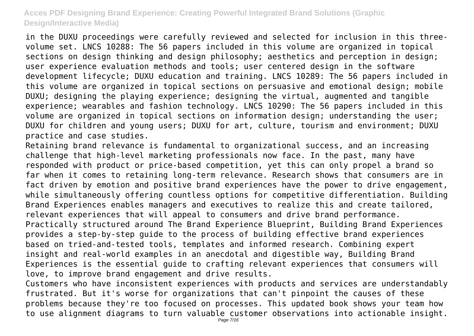in the DUXU proceedings were carefully reviewed and selected for inclusion in this threevolume set. LNCS 10288: The 56 papers included in this volume are organized in topical sections on design thinking and design philosophy; aesthetics and perception in design; user experience evaluation methods and tools; user centered design in the software development lifecycle; DUXU education and training. LNCS 10289: The 56 papers included in this volume are organized in topical sections on persuasive and emotional design; mobile DUXU; designing the playing experience; designing the virtual, augmented and tangible experience; wearables and fashion technology. LNCS 10290: The 56 papers included in this volume are organized in topical sections on information design; understanding the user; DUXU for children and young users; DUXU for art, culture, tourism and environment; DUXU practice and case studies.

Retaining brand relevance is fundamental to organizational success, and an increasing challenge that high-level marketing professionals now face. In the past, many have responded with product or price-based competition, yet this can only propel a brand so far when it comes to retaining long-term relevance. Research shows that consumers are in fact driven by emotion and positive brand experiences have the power to drive engagement, while simultaneously offering countless options for competitive differentiation. Building Brand Experiences enables managers and executives to realize this and create tailored, relevant experiences that will appeal to consumers and drive brand performance. Practically structured around The Brand Experience Blueprint, Building Brand Experiences provides a step-by-step guide to the process of building effective brand experiences based on tried-and-tested tools, templates and informed research. Combining expert insight and real-world examples in an anecdotal and digestible way, Building Brand Experiences is the essential guide to crafting relevant experiences that consumers will love, to improve brand engagement and drive results.

Customers who have inconsistent experiences with products and services are understandably frustrated. But it's worse for organizations that can't pinpoint the causes of these problems because they're too focused on processes. This updated book shows your team how to use alignment diagrams to turn valuable customer observations into actionable insight.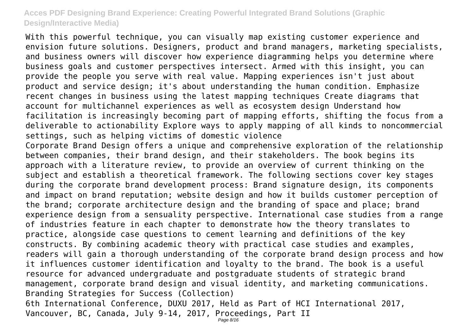With this powerful technique, you can visually map existing customer experience and envision future solutions. Designers, product and brand managers, marketing specialists, and business owners will discover how experience diagramming helps you determine where business goals and customer perspectives intersect. Armed with this insight, you can provide the people you serve with real value. Mapping experiences isn't just about product and service design; it's about understanding the human condition. Emphasize recent changes in business using the latest mapping techniques Create diagrams that account for multichannel experiences as well as ecosystem design Understand how facilitation is increasingly becoming part of mapping efforts, shifting the focus from a deliverable to actionability Explore ways to apply mapping of all kinds to noncommercial settings, such as helping victims of domestic violence Corporate Brand Design offers a unique and comprehensive exploration of the relationship between companies, their brand design, and their stakeholders. The book begins its approach with a literature review, to provide an overview of current thinking on the subject and establish a theoretical framework. The following sections cover key stages during the corporate brand development process: Brand signature design, its components and impact on brand reputation; website design and how it builds customer perception of the brand; corporate architecture design and the branding of space and place; brand experience design from a sensuality perspective. International case studies from a range of industries feature in each chapter to demonstrate how the theory translates to practice, alongside case questions to cement learning and definitions of the key constructs. By combining academic theory with practical case studies and examples, readers will gain a thorough understanding of the corporate brand design process and how it influences customer identification and loyalty to the brand. The book is a useful resource for advanced undergraduate and postgraduate students of strategic brand management, corporate brand design and visual identity, and marketing communications. Branding Strategies for Success (Collection) 6th International Conference, DUXU 2017, Held as Part of HCI International 2017, Vancouver, BC, Canada, July 9-14, 2017, Proceedings, Part II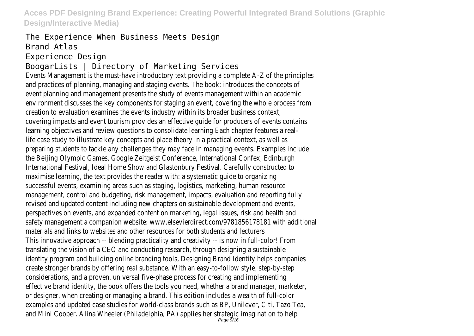The Experience When Business Meets Design Brand Atlas Experience Design

# BoogarLists | Directory of Marketing Services

Events Management is the must-have introductory text providing a complete A-Z of the principles and practices of planning, managing and staging events. The book: introduces the concepts of event planning and management presents the study of events management within an academic environment discusses the key components for staging an event, covering the whole process from creation to evaluation examines the events industry within its broader business context, covering impacts and event tourism provides an effective guide for producers of events contains learning objectives and review questions to consolidate learning Each chapter features a reallife case study to illustrate key concepts and place theory in a practical context, as well as preparing students to tackle any challenges they may face in managing events. Examples include the Beijing Olympic Games, Google Zeitgeist Conference, International Confex, Edinburgh International Festival, Ideal Home Show and Glastonbury Festival. Carefully constructed to maximise learning, the text provides the reader with: a systematic guide to organizing successful events, examining areas such as staging, logistics, marketing, human resource management, control and budgeting, risk management, impacts, evaluation and reporting fully revised and updated content including new chapters on sustainable development and events, perspectives on events, and expanded content on marketing, legal issues, risk and health and safety management a companion website: www.elsevierdirect.com/9781856178181 with additional materials and links to websites and other resources for both students and lecturers This innovative approach -- blending practicality and creativity -- is now in full-color! From translating the vision of a CEO and conducting research, through designing a sustainable identity program and building online branding tools, Designing Brand Identity helps companies create stronger brands by offering real substance. With an easy-to-follow style, step-by-step considerations, and a proven, universal five-phase process for creating and implementing effective brand identity, the book offers the tools you need, whether a brand manager, marketer, or designer, when creating or managing a brand. This edition includes a wealth of full-color examples and updated case studies for world-class brands such as BP, Unilever, Citi, Tazo Tea, and Mini Cooper. Alina Wheeler (Philadelphia, PA) applies her strategic imagination to help<br>Page 9/16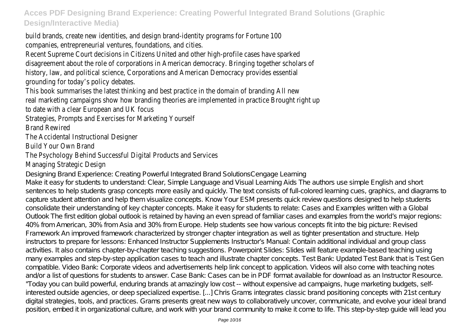build brands, create new identities, and design brand-identity programs for Fortune 100 companies, entrepreneurial ventures, foundations, and cities.

Recent Supreme Court decisions in Citizens United and other high-profile cases have sparked disagreement about the role of corporations in American democracy. Bringing together scholars of history, law, and political science, Corporations and American Democracy provides essential grounding for today's policy debates.

This book summarises the latest thinking and best practice in the domain of branding All new real marketing campaigns show how branding theories are implemented in practice Brought right up to date with a clear European and UK focus

Strategies, Prompts and Exercises for Marketing Yourself

Brand Rewired

The Accidental Instructional Designer

Build Your Own Brand

#### The Psychology Behind Successful Digital Products and Services Managing Strategic Design

Designing Brand Experience: Creating Powerful Integrated Brand SolutionsCengage Learning

Make it easy for students to understand: Clear, Simple Language and Visual Learning Aids The authors use simple English and short sentences to help students grasp concepts more easily and quickly. The text consists of full-colored learning cues, graphics, and diagrams to capture student attention and help them visualize concepts. Know Your ESM presents quick review questions designed to help students consolidate their understanding of key chapter concepts. Make it easy for students to relate: Cases and Examples written with a Global Outlook The first edition global outlook is retained by having an even spread of familiar cases and examples from the world's major regions: 40% from American, 30% from Asia and 30% from Europe. Help students see how various concepts fit into the big picture: Revised Framework An improved framework characterized by stronger chapter integration as well as tighter presentation and structure. Help instructors to prepare for lessons: Enhanced Instructor Supplements Instructor's Manual: Contain additional individual and group class activities. It also contains chapter-by-chapter teaching suggestions. Powerpoint Slides: Slides will feature example-based teaching using many examples and step-by-step application cases to teach and illustrate chapter concepts. Test Bank: Updated Test Bank that is Test Gen compatible. Video Bank: Corporate videos and advertisements help link concept to application. Videos will also come with teaching notes and/or a list of questions for students to answer. Case Bank: Cases can be in PDF format available for download as an Instructor Resource. "Today you can build powerful, enduring brands at amazingly low cost -- without expensive ad campaigns, huge marketing budgets, selfinterested outside agencies, or deep specialized expertise. [...] Chris Grams integrates classic brand positioning concepts with 21st century digital strategies, tools, and practices. Grams presents great new ways to collaboratively uncover, communicate, and evolve your ideal brand position, embed it in organizational culture, and work with your brand community to make it come to life. This step-by-step guide will lead you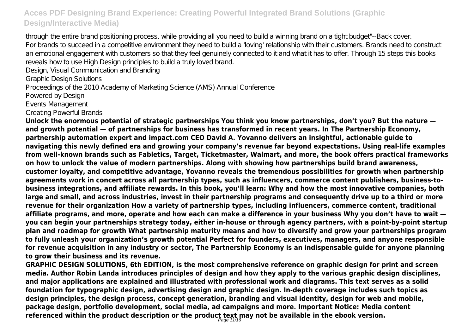through the entire brand positioning process, while providing all you need to build a winning brand on a tight budget"--Back cover. For brands to succeed in a competitive environment they need to build a 'loving' relationship with their customers. Brands need to construct an emotional engagement with customers so that they feel genuinely connected to it and what it has to offer. Through 15 steps this books reveals how to use High Design principles to build a truly loved brand.

Design, Visual Communication and Branding

Graphic Design Solutions

Proceedings of the 2010 Academy of Marketing Science (AMS) Annual Conference

Powered by Design

Events Management

Creating Powerful Brands

**Unlock the enormous potential of strategic partnerships You think you know partnerships, don't you? But the nature and growth potential — of partnerships for business has transformed in recent years. In The Partnership Economy, partnership automation expert and impact.com CEO David A. Yovanno delivers an insightful, actionable guide to navigating this newly defined era and growing your company's revenue far beyond expectations. Using real-life examples from well-known brands such as Fabletics, Target, Ticketmaster, Walmart, and more, the book offers practical frameworks on how to unlock the value of modern partnerships. Along with showing how partnerships build brand awareness, customer loyalty, and competitive advantage, Yovanno reveals the tremendous possibilities for growth when partnership agreements work in concert across all partnership types, such as influencers, commerce content publishers, business-tobusiness integrations, and affiliate rewards. In this book, you'll learn: Why and how the most innovative companies, both large and small, and across industries, invest in their partnership programs and consequently drive up to a third or more revenue for their organization How a variety of partnership types, including influencers, commerce content, traditional affiliate programs, and more, operate and how each can make a difference in your business Why you don't have to wait you can begin your partnerships strategy today, either in-house or through agency partners, with a point-by-point startup plan and roadmap for growth What partnership maturity means and how to diversify and grow your partnerships program to fully unleash your organization's growth potential Perfect for founders, executives, managers, and anyone responsible for revenue acquisition in any industry or sector, The Partnership Economy is an indispensable guide for anyone planning to grow their business and its revenue.**

**GRAPHIC DESIGN SOLUTIONS, 6th EDITION, is the most comprehensive reference on graphic design for print and screen media. Author Robin Landa introduces principles of design and how they apply to the various graphic design disciplines, and major applications are explained and illustrated with professional work and diagrams. This text serves as a solid foundation for typographic design, advertising design and graphic design. In-depth coverage includes such topics as design principles, the design process, concept generation, branding and visual identity, design for web and mobile, package design, portfolio development, social media, ad campaigns and more. Important Notice: Media content referenced within the product description or the product text may not be available in the ebook version.** Page 11/16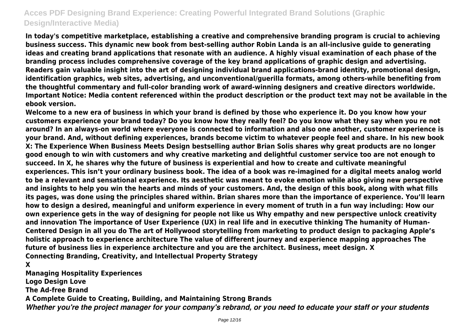**In today's competitive marketplace, establishing a creative and comprehensive branding program is crucial to achieving business success. This dynamic new book from best-selling author Robin Landa is an all-inclusive guide to generating ideas and creating brand applications that resonate with an audience. A highly visual examination of each phase of the branding process includes comprehensive coverage of the key brand applications of graphic design and advertising. Readers gain valuable insight into the art of designing individual brand applications-brand identity, promotional design, identification graphics, web sites, advertising, and unconventional/guerilla formats, among others-while benefiting from the thoughtful commentary and full-color branding work of award-winning designers and creative directors worldwide. Important Notice: Media content referenced within the product description or the product text may not be available in the ebook version.**

**Welcome to a new era of business in which your brand is defined by those who experience it. Do you know how your customers experience your brand today? Do you know how they really feel? Do you know what they say when you re not around? In an always-on world where everyone is connected to information and also one another, customer experience is your brand. And, without defining experiences, brands become victim to whatever people feel and share. In his new book X: The Experience When Business Meets Design bestselling author Brian Solis shares why great products are no longer good enough to win with customers and why creative marketing and delightful customer service too are not enough to succeed. In X, he shares why the future of business is experiential and how to create and cultivate meaningful experiences. This isn't your ordinary business book. The idea of a book was re-imagined for a digital meets analog world to be a relevant and sensational experience. Its aesthetic was meant to evoke emotion while also giving new perspective and insights to help you win the hearts and minds of your customers. And, the design of this book, along with what fills its pages, was done using the principles shared within. Brian shares more than the importance of experience. You'll learn how to design a desired, meaningful and uniform experience in every moment of truth in a fun way including: How our own experience gets in the way of designing for people not like us Why empathy and new perspective unlock creativity and innovation The importance of User Experience (UX) in real life and in executive thinking The humanity of Human-Centered Design in all you do The art of Hollywood storytelling from marketing to product design to packaging Apple's holistic approach to experience architecture The value of different journey and experience mapping approaches The future of business lies in experience architecture and you are the architect. Business, meet design. X Connecting Branding, Creativity, and Intellectual Property Strategy**

**X**

**Managing Hospitality Experiences Logo Design Love The Ad-free Brand A Complete Guide to Creating, Building, and Maintaining Strong Brands** *Whether you're the project manager for your company's rebrand, or you need to educate your staff or your students*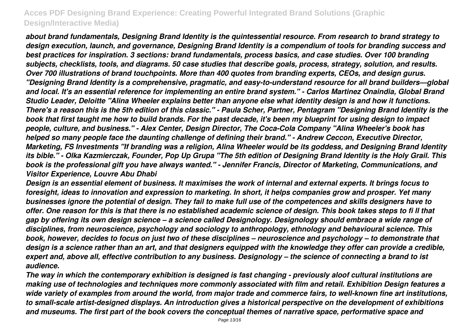*about brand fundamentals, Designing Brand Identity is the quintessential resource. From research to brand strategy to design execution, launch, and governance, Designing Brand Identity is a compendium of tools for branding success and best practices for inspiration. 3 sections: brand fundamentals, process basics, and case studies. Over 100 branding subjects, checklists, tools, and diagrams. 50 case studies that describe goals, process, strategy, solution, and results. Over 700 illustrations of brand touchpoints. More than 400 quotes from branding experts, CEOs, and design gurus. "Designing Brand Identity is a comprehensive, pragmatic, and easy-to-understand resource for all brand builders—global and local. It's an essential reference for implementing an entire brand system." - Carlos Martinez Onaindia, Global Brand Studio Leader, Deloitte "Alina Wheeler explains better than anyone else what identity design is and how it functions. There's a reason this is the 5th edition of this classic." - Paula Scher, Partner, Pentagram "Designing Brand Identity is the book that first taught me how to build brands. For the past decade, it's been my blueprint for using design to impact people, culture, and business." - Alex Center, Design Director, The Coca-Cola Company "Alina Wheeler's book has helped so many people face the daunting challenge of defining their brand." - Andrew Ceccon, Executive Director, Marketing, FS Investments "If branding was a religion, Alina Wheeler would be its goddess, and Designing Brand Identity its bible." - Olka Kazmierczak, Founder, Pop Up Grupa "The 5th edition of Designing Brand Identity is the Holy Grail. This book is the professional gift you have always wanted." - Jennifer Francis, Director of Marketing, Communications, and Visitor Experience, Louvre Abu Dhabi*

*Design is an essential element of business. It maximises the work of internal and external experts. It brings focus to foresight, ideas to innovation and expression to marketing. In short, it helps companies grow and prosper. Yet many businesses ignore the potential of design. They fail to make full use of the competences and skills designers have to offer. One reason for this is that there is no established academic science of design. This book takes steps to fi ll that gap by offering its own design science – a science called Designology. Designology should embrace a wide range of disciplines, from neuroscience, psychology and sociology to anthropology, ethnology and behavioural science. This book, however, decides to focus on just two of these disciplines – neuroscience and psychology – to demonstrate that design is a science rather than an art, and that designers equipped with the knowledge they offer can provide a credible, expert and, above all, effective contribution to any business. Designology – the science of connecting a brand to ist audience.*

*The way in which the contemporary exhibition is designed is fast changing - previously aloof cultural institutions are making use of technologies and techniques more commonly associated with film and retail. Exhibition Design features a wide variety of examples from around the world, from major trade and commerce fairs, to well-known fine art institutions, to small-scale artist-designed displays. An introduction gives a historical perspective on the development of exhibitions and museums. The first part of the book covers the conceptual themes of narrative space, performative space and*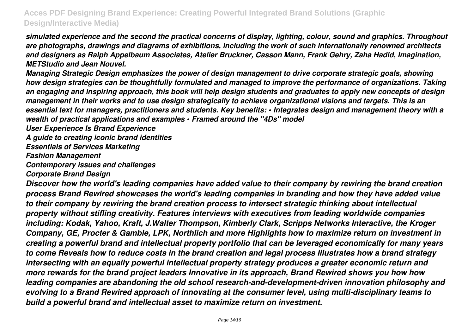*simulated experience and the second the practical concerns of display, lighting, colour, sound and graphics. Throughout are photographs, drawings and diagrams of exhibitions, including the work of such internationally renowned architects and designers as Ralph Appelbaum Associates, Atelier Bruckner, Casson Mann, Frank Gehry, Zaha Hadid, Imagination, METStudio and Jean Nouvel.*

*Managing Strategic Design emphasizes the power of design management to drive corporate strategic goals, showing how design strategies can be thoughtfully formulated and managed to improve the performance of organizations. Taking an engaging and inspiring approach, this book will help design students and graduates to apply new concepts of design management in their works and to use design strategically to achieve organizational visions and targets. This is an essential text for managers, practitioners and students. Key benefits: • Integrates design and management theory with a wealth of practical applications and examples • Framed around the ''4Ds'' model*

*User Experience Is Brand Experience*

*A guide to creating iconic brand identities*

*Essentials of Services Marketing*

*Fashion Management*

*Contemporary issues and challenges*

*Corporate Brand Design*

*Discover how the world's leading companies have added value to their company by rewiring the brand creation process Brand Rewired showcases the world's leading companies in branding and how they have added value to their company by rewiring the brand creation process to intersect strategic thinking about intellectual property without stifling creativity. Features interviews with executives from leading worldwide companies including: Kodak, Yahoo, Kraft, J.Walter Thompson, Kimberly Clark, Scripps Networks Interactive, the Kroger Company, GE, Procter & Gamble, LPK, Northlich and more Highlights how to maximize return on investment in creating a powerful brand and intellectual property portfolio that can be leveraged economically for many years to come Reveals how to reduce costs in the brand creation and legal process Illustrates how a brand strategy intersecting with an equally powerful intellectual property strategy produces a greater economic return and more rewards for the brand project leaders Innovative in its approach, Brand Rewired shows you how how leading companies are abandoning the old school research-and-development-driven innovation philosophy and evolving to a Brand Rewired approach of innovating at the consumer level, using multi-disciplinary teams to build a powerful brand and intellectual asset to maximize return on investment.*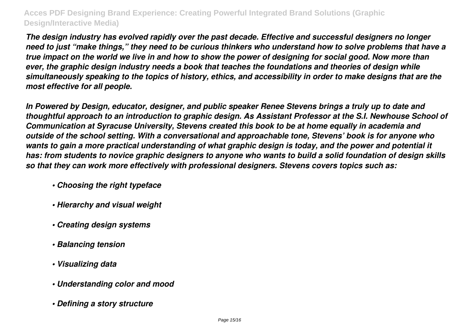*The design industry has evolved rapidly over the past decade. Effective and successful designers no longer need to just "make things," they need to be curious thinkers who understand how to solve problems that have a true impact on the world we live in and how to show the power of designing for social good. Now more than ever, the graphic design industry needs a book that teaches the foundations and theories of design while simultaneously speaking to the topics of history, ethics, and accessibility in order to make designs that are the most effective for all people.*

*In Powered by Design, educator, designer, and public speaker Renee Stevens brings a truly up to date and thoughtful approach to an introduction to graphic design. As Assistant Professor at the S.I. Newhouse School of Communication at Syracuse University, Stevens created this book to be at home equally in academia and outside of the school setting. With a conversational and approachable tone, Stevens' book is for anyone who wants to gain a more practical understanding of what graphic design is today, and the power and potential it has: from students to novice graphic designers to anyone who wants to build a solid foundation of design skills so that they can work more effectively with professional designers. Stevens covers topics such as:*

- *Choosing the right typeface*
- *Hierarchy and visual weight*
- *Creating design systems*
- *Balancing tension*
- *Visualizing data*
- *Understanding color and mood*
- *Defining a story structure*